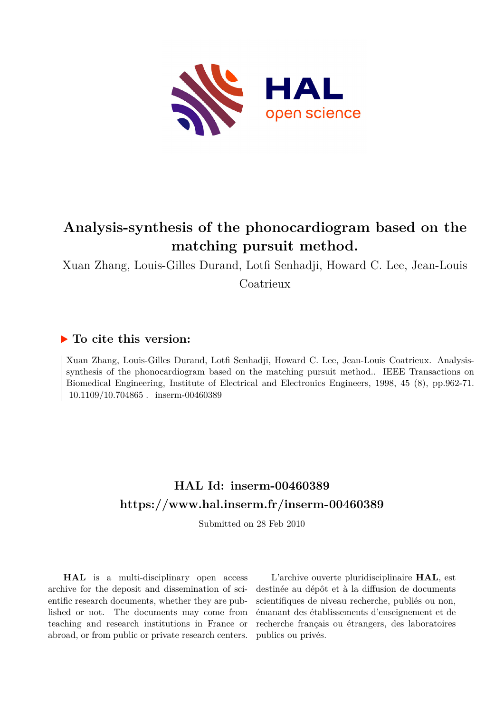

## **Analysis-synthesis of the phonocardiogram based on the matching pursuit method.**

Xuan Zhang, Louis-Gilles Durand, Lotfi Senhadji, Howard C. Lee, Jean-Louis Coatrieux

### **To cite this version:**

Xuan Zhang, Louis-Gilles Durand, Lotfi Senhadji, Howard C. Lee, Jean-Louis Coatrieux. Analysissynthesis of the phonocardiogram based on the matching pursuit method.. IEEE Transactions on Biomedical Engineering, Institute of Electrical and Electronics Engineers, 1998, 45 (8), pp.962-71.  $10.1109/10.704865$ . inserm-00460389

## **HAL Id: inserm-00460389 <https://www.hal.inserm.fr/inserm-00460389>**

Submitted on 28 Feb 2010

**HAL** is a multi-disciplinary open access archive for the deposit and dissemination of scientific research documents, whether they are published or not. The documents may come from teaching and research institutions in France or abroad, or from public or private research centers.

L'archive ouverte pluridisciplinaire **HAL**, est destinée au dépôt et à la diffusion de documents scientifiques de niveau recherche, publiés ou non, émanant des établissements d'enseignement et de recherche français ou étrangers, des laboratoires publics ou privés.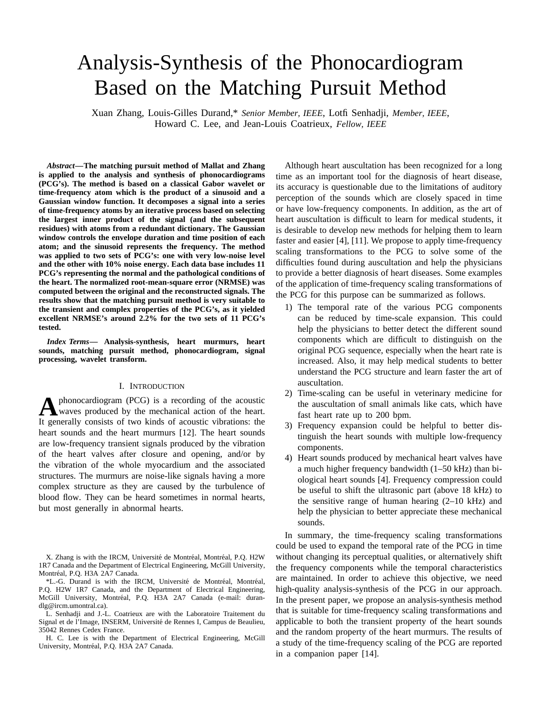# Analysis-Synthesis of the Phonocardiogram Based on the Matching Pursuit Method

Xuan Zhang, Louis-Gilles Durand,\* *Senior Member, IEEE*, Lotfi Senhadji, *Member, IEEE*, Howard C. Lee, and Jean-Louis Coatrieux, *Fellow, IEEE*

*Abstract—***The matching pursuit method of Mallat and Zhang is applied to the analysis and synthesis of phonocardiograms (PCG's). The method is based on a classical Gabor wavelet or time-frequency atom which is the product of a sinusoid and a Gaussian window function. It decomposes a signal into a series of time-frequency atoms by an iterative process based on selecting the largest inner product of the signal (and the subsequent residues) with atoms from a redundant dictionary. The Gaussian window controls the envelope duration and time position of each atom; and the sinusoid represents the frequency. The method was applied to two sets of PCG's: one with very low-noise level and the other with 10% noise energy. Each data base includes 11 PCG's representing the normal and the pathological conditions of the heart. The normalized root-mean-square error (NRMSE) was computed between the original and the reconstructed signals. The results show that the matching pursuit method is very suitable to the transient and complex properties of the PCG's, as it yielded excellent NRMSE's around 2.2% for the two sets of 11 PCG's tested.**

*Index Terms—* **Analysis-synthesis, heart murmurs, heart sounds, matching pursuit method, phonocardiogram, signal processing, wavelet transform.**

#### I. INTRODUCTION

**A** phonocardiogram (PCG) is a recording of the acoustic<br>waves produced by the mechanical action of the heart. It generally consists of two kinds of acoustic vibrations: the heart sounds and the heart murmurs [12]. The heart sounds are low-frequency transient signals produced by the vibration of the heart valves after closure and opening, and/or by the vibration of the whole myocardium and the associated structures. The murmurs are noise-like signals having a more complex structure as they are caused by the turbulence of blood flow. They can be heard sometimes in normal hearts, but most generally in abnormal hearts.

Although heart auscultation has been recognized for a long time as an important tool for the diagnosis of heart disease, its accuracy is questionable due to the limitations of auditory perception of the sounds which are closely spaced in time or have low-frequency components. In addition, as the art of heart auscultation is difficult to learn for medical students, it is desirable to develop new methods for helping them to learn faster and easier [4], [11]. We propose to apply time-frequency scaling transformations to the PCG to solve some of the difficulties found during auscultation and help the physicians to provide a better diagnosis of heart diseases. Some examples of the application of time-frequency scaling transformations of the PCG for this purpose can be summarized as follows.

- 1) The temporal rate of the various PCG components can be reduced by time-scale expansion. This could help the physicians to better detect the different sound components which are difficult to distinguish on the original PCG sequence, especially when the heart rate is increased. Also, it may help medical students to better understand the PCG structure and learn faster the art of auscultation.
- 2) Time-scaling can be useful in veterinary medicine for the auscultation of small animals like cats, which have fast heart rate up to 200 bpm.
- 3) Frequency expansion could be helpful to better distinguish the heart sounds with multiple low-frequency components.
- 4) Heart sounds produced by mechanical heart valves have a much higher frequency bandwidth (1–50 kHz) than biological heart sounds [4]. Frequency compression could be useful to shift the ultrasonic part (above 18 kHz) to the sensitive range of human hearing  $(2-10 \text{ kHz})$  and help the physician to better appreciate these mechanical sounds.

In summary, the time-frequency scaling transformations could be used to expand the temporal rate of the PCG in time without changing its perceptual qualities, or alternatively shift the frequency components while the temporal characteristics are maintained. In order to achieve this objective, we need high-quality analysis-synthesis of the PCG in our approach. In the present paper, we propose an analysis-synthesis method that is suitable for time-frequency scaling transformations and applicable to both the transient property of the heart sounds and the random property of the heart murmurs. The results of a study of the time-frequency scaling of the PCG are reported in a companion paper [14].

X. Zhang is with the IRCM, Université de Montréal, Montréal, P.Q. H2W 1R7 Canada and the Department of Electrical Engineering, McGill University, Montréal, P.O. H3A 2A7 Canada.

<sup>\*</sup>L.-G. Durand is with the IRCM, Université de Montréal, Montréal, P.Q. H2W 1R7 Canada, and the Department of Electrical Engineering, McGill University, Montréal, P.Q. H3A 2A7 Canada (e-mail: durandlg@ircm.umontral.ca).

L. Senhadji and J.-L. Coatrieux are with the Laboratoire Traitement du Signal et de l'Image, INSERM, Université de Rennes I, Campus de Beaulieu, 35042 Rennes Cedex France.

H. C. Lee is with the Department of Electrical Engineering, McGill University, Montréal, P.Q. H3A 2A7 Canada.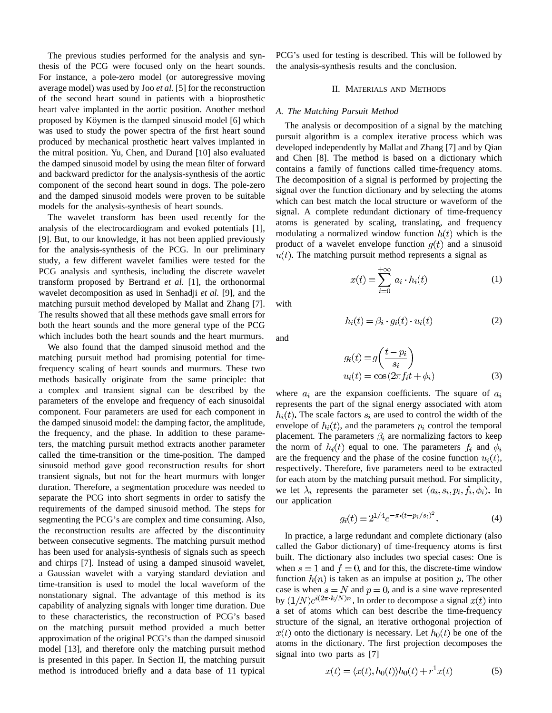The previous studies performed for the analysis and synthesis of the PCG were focused only on the heart sounds. For instance, a pole-zero model (or autoregressive moving average model) was used by Joo *et al.* [5] for the reconstruction of the second heart sound in patients with a bioprosthetic heart valve implanted in the aortic position. Another method proposed by Köymen is the damped sinusoid model [6] which was used to study the power spectra of the first heart sound produced by mechanical prosthetic heart valves implanted in the mitral position. Yu, Chen, and Durand [10] also evaluated the damped sinusoid model by using the mean filter of forward and backward predictor for the analysis-synthesis of the aortic component of the second heart sound in dogs. The pole-zero and the damped sinusoid models were proven to be suitable models for the analysis-synthesis of heart sounds.

The wavelet transform has been used recently for the analysis of the electrocardiogram and evoked potentials [1], [9]. But, to our knowledge, it has not been applied previously for the analysis-synthesis of the PCG. In our preliminary study, a few different wavelet families were tested for the PCG analysis and synthesis, including the discrete wavelet transform proposed by Bertrand *et al.* [1], the orthonormal wavelet decomposition as used in Senhadji *et al.* [9], and the matching pursuit method developed by Mallat and Zhang [7]. The results showed that all these methods gave small errors for both the heart sounds and the more general type of the PCG which includes both the heart sounds and the heart murmurs.

We also found that the damped sinusoid method and the matching pursuit method had promising potential for timefrequency scaling of heart sounds and murmurs. These two methods basically originate from the same principle: that a complex and transient signal can be described by the parameters of the envelope and frequency of each sinusoidal component. Four parameters are used for each component in the damped sinusoid model: the damping factor, the amplitude, the frequency, and the phase. In addition to these parameters, the matching pursuit method extracts another parameter called the time-transition or the time-position. The damped sinusoid method gave good reconstruction results for short transient signals, but not for the heart murmurs with longer duration. Therefore, a segmentation procedure was needed to separate the PCG into short segments in order to satisfy the requirements of the damped sinusoid method. The steps for segmenting the PCG's are complex and time consuming. Also, the reconstruction results are affected by the discontinuity between consecutive segments. The matching pursuit method has been used for analysis-synthesis of signals such as speech and chirps [7]. Instead of using a damped sinusoid wavelet, a Gaussian wavelet with a varying standard deviation and time-transition is used to model the local waveform of the nonstationary signal. The advantage of this method is its capability of analyzing signals with longer time duration. Due to these characteristics, the reconstruction of PCG's based on the matching pursuit method provided a much better approximation of the original PCG's than the damped sinusoid model [13], and therefore only the matching pursuit method is presented in this paper. In Section II, the matching pursuit method is introduced briefly and a data base of 11 typical PCG's used for testing is described. This will be followed by the analysis-synthesis results and the conclusion.

#### II. MATERIALS AND METHODS

#### *A. The Matching Pursuit Method*

The analysis or decomposition of a signal by the matching pursuit algorithm is a complex iterative process which was developed independently by Mallat and Zhang [7] and by Qian and Chen [8]. The method is based on a dictionary which contains a family of functions called time-frequency atoms. The decomposition of a signal is performed by projecting the signal over the function dictionary and by selecting the atoms which can best match the local structure or waveform of the signal. A complete redundant dictionary of time-frequency atoms is generated by scaling, translating, and frequency modulating a normalized window function  $h(t)$  which is the product of a wavelet envelope function  $q(t)$  and a sinusoid  $u(t)$ . The matching pursuit method represents a signal as

$$
x(t) = \sum_{i=0}^{+\infty} a_i \cdot h_i(t)
$$
 (1)

with

$$
h_i(t) = \beta_i \cdot g_i(t) \cdot u_i(t) \tag{2}
$$

and

$$
g_i(t) = g\left(\frac{t - p_i}{s_i}\right)
$$
  

$$
u_i(t) = \cos(2\pi f_i t + \phi_i)
$$
 (3)

where  $a_i$  are the expansion coefficients. The square of  $a_i$ represents the part of the signal energy associated with atom  $h_i(t)$ . The scale factors  $s_i$  are used to control the width of the envelope of  $h_i(t)$ , and the parameters  $p_i$  control the temporal placement. The parameters  $\beta_i$  are normalizing factors to keep the norm of  $h_i(t)$  equal to one. The parameters  $f_i$  and  $\phi_i$ are the frequency and the phase of the cosine function  $u_i(t)$ , respectively. Therefore, five parameters need to be extracted for each atom by the matching pursuit method. For simplicity, we let  $\lambda_i$  represents the parameter set  $(a_i, s_i, p_i, f_i, \phi_i)$ . In our application

$$
g_i(t) = 2^{1/4} e^{-\pi \cdot (t - p_i/s_i)^2}.
$$
 (4)

In practice, a large redundant and complete dictionary (also called the Gabor dictionary) of time-frequency atoms is first built. The dictionary also includes two special cases: One is when  $s = 1$  and  $f = 0$ , and for this, the discrete-time window function  $h(n)$  is taken as an impulse at position p. The other case is when  $s = N$  and  $p = 0$ , and is a sine wave represented by  $(1/N)e^{i(2\pi \cdot k/N)n}$ . In order to decompose a signal  $x(t)$  into a set of atoms which can best describe the time-frequency structure of the signal, an iterative orthogonal projection of  $x(t)$  onto the dictionary is necessary. Let  $h_0(t)$  be one of the atoms in the dictionary. The first projection decomposes the signal into two parts as [7]

$$
x(t) = \langle x(t), h_0(t) \rangle h_0(t) + r^1 x(t) \tag{5}
$$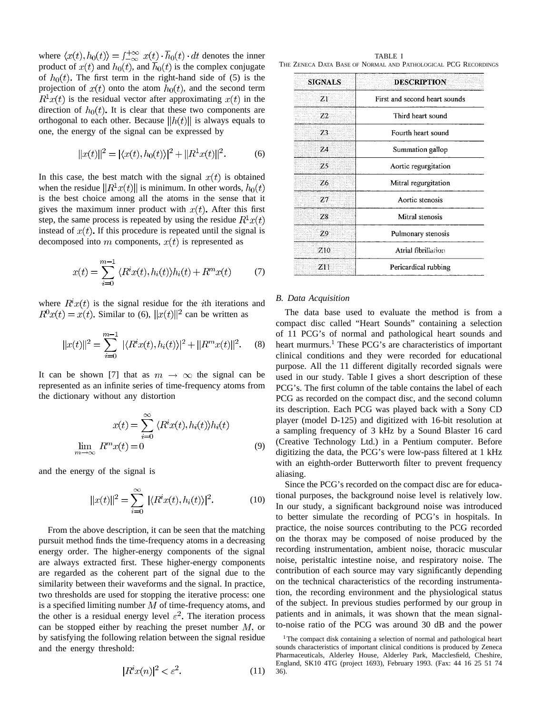where  $\langle x(t), h_0(t) \rangle = \int_{-\infty}^{+\infty} x(t) \cdot \overline{h}_0(t) \cdot dt$  denotes the inner product of  $x(t)$  and  $h_0(t)$ , and  $\overline{h}_0(t)$  is the complex conjugate of  $h_0(t)$ . The first term in the right-hand side of (5) is the projection of  $x(t)$  onto the atom  $h_0(t)$ , and the second term  $R^{1}x(t)$  is the residual vector after approximating  $x(t)$  in the direction of  $h_0(t)$ . It is clear that these two components are orthogonal to each other. Because  $||h(t)||$  is always equals to one, the energy of the signal can be expressed by

$$
||x(t)||^2 = |\langle x(t), h_0(t) \rangle|^2 + ||R^1 x(t)||^2. \tag{6}
$$

In this case, the best match with the signal  $x(t)$  is obtained when the residue  $||R^T x(t)||$  is minimum. In other words,  $h_0(t)$ is the best choice among all the atoms in the sense that it gives the maximum inner product with  $x(t)$ . After this first step, the same process is repeated by using the residue  $R^1x(t)$ instead of  $x(t)$ . If this procedure is repeated until the signal is decomposed into m components,  $x(t)$  is represented as

$$
x(t) = \sum_{i=0}^{m-1} \langle R^i x(t), h_i(t) \rangle h_i(t) + R^m x(t) \tag{7}
$$

where  $R^{i}x(t)$  is the signal residue for the *i*th iterations and  $R^{0}x(t) = x(t)$ . Similar to (6),  $||x(t)||^{2}$  can be written as

$$
||x(t)||^2 = \sum_{i=0}^{m-1} |\langle R^i x(t), h_i(t) \rangle|^2 + ||R^m x(t)||^2. \tag{8}
$$

It can be shown [7] that as  $m \to \infty$  the signal can be represented as an infinite series of time-frequency atoms from the dictionary without any distortion

$$
x(t) = \sum_{i=0}^{\infty} \langle R^i x(t), h_i(t) \rangle h_i(t)
$$

$$
\lim_{m \to \infty} R^m x(t) = 0
$$
(9)

and the energy of the signal is

$$
||x(t)||^2 = \sum_{i=0}^{\infty} |\langle R^i x(t), h_i(t) \rangle|^2.
$$
 (10)

From the above description, it can be seen that the matching pursuit method finds the time-frequency atoms in a decreasing energy order. The higher-energy components of the signal are always extracted first. These higher-energy components are regarded as the coherent part of the signal due to the similarity between their waveforms and the signal. In practice, two thresholds are used for stopping the iterative process: one is a specified limiting number  $M$  of time-frequency atoms, and the other is a residual energy level  $\varepsilon^2$ . The iteration process can be stopped either by reaching the preset number  $M$ , or by satisfying the following relation between the signal residue and the energy threshold:

$$
|R^i x(n)|^2 < \varepsilon^2. \tag{11}
$$

TABLE I THE ZENECA DATA BASE OF NORMAL AND PATHOLOGICAL PCG RECORDINGS

| <b>SIGNALS</b> | <b>DESCRIPTION</b>            |  |
|----------------|-------------------------------|--|
| Z <sub>1</sub> | First and second heart sounds |  |
| Z2             | Third heart sound             |  |
| 73.            | Fourth heart sound            |  |
| 24             | Summation gallop              |  |
| Z5             | Aortic regurgitation          |  |
| Z6             | Mitral regurgitation          |  |
| Z7             | Aortic stenosis               |  |
| 78             | Mitral stenosis               |  |
| 79             | Pulmonary stenosis            |  |
| Z10            | Atrial fibrillation           |  |
| Z11            | Pericardical rubbing          |  |

#### *B. Data Acquisition*

The data base used to evaluate the method is from a compact disc called "Heart Sounds" containing a selection of 11 PCG's of normal and pathological heart sounds and heart murmurs.<sup>1</sup> These PCG's are characteristics of important clinical conditions and they were recorded for educational purpose. All the 11 different digitally recorded signals were used in our study. Table I gives a short description of these PCG's. The first column of the table contains the label of each PCG as recorded on the compact disc, and the second column its description. Each PCG was played back with a Sony CD player (model D-125) and digitized with 16-bit resolution at a sampling frequency of 3 kHz by a Sound Blaster 16 card (Creative Technology Ltd.) in a Pentium computer. Before digitizing the data, the PCG's were low-pass filtered at 1 kHz with an eighth-order Butterworth filter to prevent frequency aliasing.

Since the PCG's recorded on the compact disc are for educational purposes, the background noise level is relatively low. In our study, a significant background noise was introduced to better simulate the recording of PCG's in hospitals. In practice, the noise sources contributing to the PCG recorded on the thorax may be composed of noise produced by the recording instrumentation, ambient noise, thoracic muscular noise, peristaltic intestine noise, and respiratory noise. The contribution of each source may vary significantly depending on the technical characteristics of the recording instrumentation, the recording environment and the physiological status of the subject. In previous studies performed by our group in patients and in animals, it was shown that the mean signalto-noise ratio of the PCG was around 30 dB and the power

<sup>&</sup>lt;sup>1</sup>The compact disk containing a selection of normal and pathological heart sounds characteristics of important clinical conditions is produced by Zeneca Pharmaceuticals, Alderley House, Alderley Park, Macclesfield, Cheshire, England, SK10 4TG (project 1693), February 1993. (Fax: 44 16 25 51 74 36).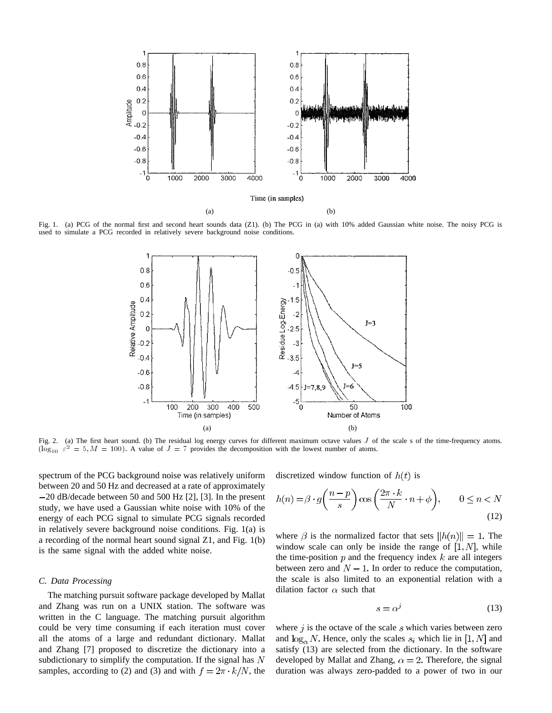

Fig. 1. (a) PCG of the normal first and second heart sounds data (Z1). (b) The PCG in (a) with 10% added Gaussian white noise. The noisy PCG is used to simulate a PCG recorded in relatively severe background noise conditions.



Fig. 2. (a) The first heart sound. (b) The residual log energy curves for different maximum octave values  $J$  of the scale s of the time-frequency atoms.  $(\log_{10} \varepsilon^2 = 5, M = 100)$ . A value of  $J = 7$  provides the decomposition with the lowest number of atoms.

spectrum of the PCG background noise was relatively uniform between 20 and 50 Hz and decreased at a rate of approximately 20 dB/decade between 50 and 500 Hz [2], [3]. In the present study, we have used a Gaussian white noise with 10% of the energy of each PCG signal to simulate PCG signals recorded in relatively severe background noise conditions. Fig. 1(a) is a recording of the normal heart sound signal Z1, and Fig. 1(b) is the same signal with the added white noise.

#### *C. Data Processing*

The matching pursuit software package developed by Mallat and Zhang was run on a UNIX station. The software was written in the C language. The matching pursuit algorithm could be very time consuming if each iteration must cover all the atoms of a large and redundant dictionary. Mallat and Zhang [7] proposed to discretize the dictionary into a subdictionary to simplify the computation. If the signal has  $N$ samples, according to (2) and (3) and with  $f = 2\pi \cdot k/N$ , the discretized window function of  $h(t)$  is

$$
h(n) = \beta \cdot g\left(\frac{n-p}{s}\right) \cos\left(\frac{2\pi \cdot k}{N} \cdot n + \phi\right), \qquad 0 \le n < N
$$
\n(12)

where  $\beta$  is the normalized factor that sets  $||h(n)|| = 1$ . The window scale can only be inside the range of  $[1, N]$ , while the time-position  $p$  and the frequency index  $k$  are all integers between zero and  $N-1$ . In order to reduce the computation, the scale is also limited to an exponential relation with a dilation factor  $\alpha$  such that

$$
s = \alpha^j \tag{13}
$$

where  $j$  is the octave of the scale  $s$  which varies between zero and  $\log_{\alpha} N$ . Hence, only the scales  $s_i$  which lie in [1, N] and satisfy (13) are selected from the dictionary. In the software developed by Mallat and Zhang,  $\alpha = 2$ . Therefore, the signal duration was always zero-padded to a power of two in our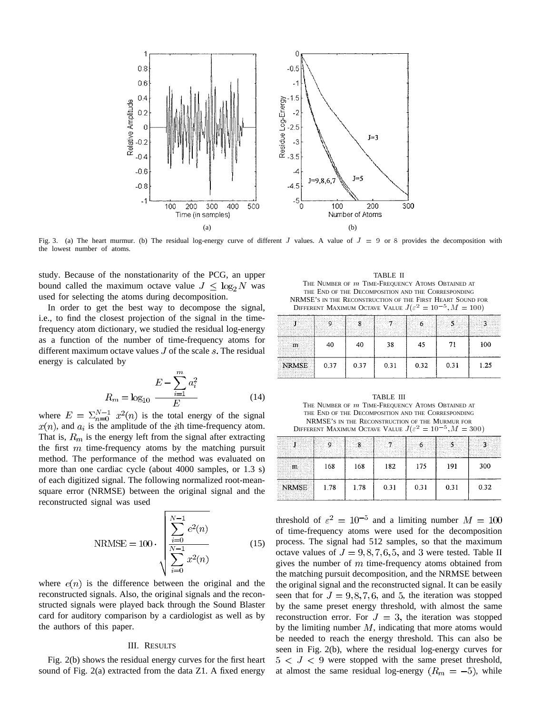

Fig. 3. (a) The heart murmur. (b) The residual log-energy curve of different  $J$  values. A value of  $J = 9$  or 8 provides the decomposition with the lowest number of atoms.

study. Because of the nonstationarity of the PCG, an upper bound called the maximum octave value  $J \leq \log_2 N$  was used for selecting the atoms during decomposition.

In order to get the best way to decompose the signal, i.e., to find the closest projection of the signal in the timefrequency atom dictionary, we studied the residual log-energy as a function of the number of time-frequency atoms for different maximum octave values  $J$  of the scale  $s$ . The residual energy is calculated by

$$
R_m = \log_{10} \frac{E - \sum_{i=1}^{m} a_i^2}{E}
$$
 (14)

where  $E = \sum_{n=0}^{N-1} x^2(n)$  is the total energy of the signal  $x(n)$ , and  $a_i$  is the amplitude of the *i*th time-frequency atom. That is,  $R_m$  is the energy left from the signal after extracting the first  $m$  time-frequency atoms by the matching pursuit method. The performance of the method was evaluated on more than one cardiac cycle (about 4000 samples, or 1.3 s) of each digitized signal. The following normalized root-meansquare error (NRMSE) between the original signal and the reconstructed signal was used

NRMSE = 100 
$$
\sqrt{\sum_{i=0}^{N-1} e^{2}(n)}
$$

$$
\sqrt{\sum_{i=0}^{N-1} x^{2}(n)}
$$
(15)

where  $e(n)$  is the difference between the original and the reconstructed signals. Also, the original signals and the reconstructed signals were played back through the Sound Blaster card for auditory comparison by a cardiologist as well as by the authors of this paper.

#### III. RESULTS

Fig. 2(b) shows the residual energy curves for the first heart sound of Fig. 2(a) extracted from the data Z1. A fixed energy

TABLE II THE NUMBER OF  $m$  TIME-FREQUENCY ATOMS OBTAINED AT THE END OF THE DECOMPOSITION AND THE CORRESPONDING NRMSE'S IN THE RECONSTRUCTION OF THE FIRST HEART SOUND FOR DIFFERENT MAXIMUM OCTAVE VALUE  $J(\varepsilon^2 = 10^{-5}, M = 100)$ 

|              |      |      |      | 494. av | .    |      |
|--------------|------|------|------|---------|------|------|
|              | 40   | 40   | 38   | 45      | 71   | 100  |
| <b>NRMSE</b> | 0.37 | 0.37 | 0.31 | 0.32    | 0.31 | 1.25 |

TABLE III THE NUMBER OF m TIME-FREQUENCY ATOMS OBTAINED AT THE END OF THE DECOMPOSITION AND THE CORRESPONDING NRMSE'S IN THE RECONSTRUCTION OF THE MURMUR FOR DIFFERENT MAXIMUM OCTAVE VALUE  $J(\varepsilon^2 = 10^{-5}, M = 300)$ 

| - - -<br>and the same | 168  | 168  | 182  | 175  | 191  | 300  |
|-----------------------|------|------|------|------|------|------|
| <b>NRMSE</b>          | 1.78 | 1.78 | 0.31 | 0.31 | 0.31 | 0.32 |

threshold of  $\varepsilon^2 = 10^{-5}$  and a limiting number  $M = 100$ of time-frequency atoms were used for the decomposition process. The signal had 512 samples, so that the maximum octave values of  $J = 9, 8, 7, 6, 5,$  and 3 were tested. Table II gives the number of  $m$  time-frequency atoms obtained from the matching pursuit decomposition, and the NRMSE between the original signal and the reconstructed signal. It can be easily seen that for  $J = 9, 8, 7, 6,$  and 5, the iteration was stopped by the same preset energy threshold, with almost the same reconstruction error. For  $J = 3$ , the iteration was stopped by the limiting number  $M$ , indicating that more atoms would be needed to reach the energy threshold. This can also be seen in Fig. 2(b), where the residual log-energy curves for  $5 < J < 9$  were stopped with the same preset threshold, at almost the same residual log-energy  $(R_m = -5)$ , while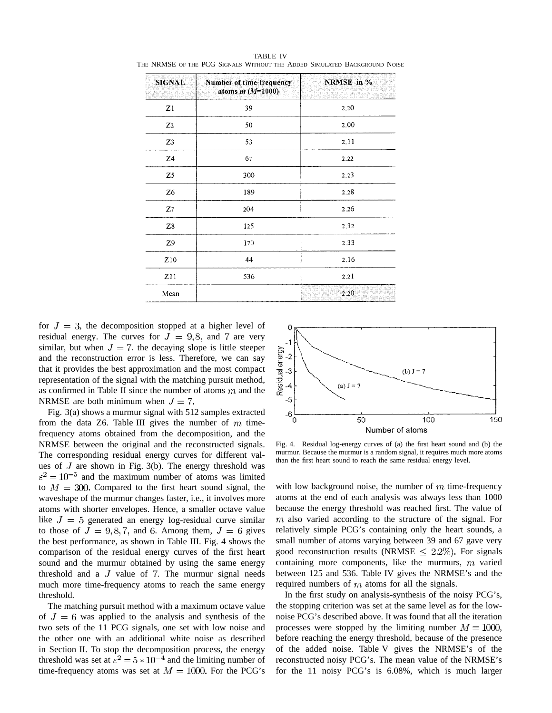| <b>SIGNAL</b>  | Number of time-frequency<br>atoms $m(M=1000)$ | NRMSE in % |  |
|----------------|-----------------------------------------------|------------|--|
| Z1             | 39                                            | 2.20       |  |
| Z <sub>2</sub> | 50                                            | 2.00       |  |
| Z3             | 53                                            | 2.11       |  |
| Z4             | 67                                            | 2.22       |  |
| Z5             | 300                                           | 2.23       |  |
| Z6             | 189                                           | 2.28       |  |
| $Z_7$          | 204                                           | 2.26       |  |
| Z8             | 125                                           | 2.32       |  |
| Z9             | 170                                           | 2.33       |  |
| Z10            | 44                                            | 2.16       |  |
| Z11            | 536                                           | 2.21       |  |
| Mean           |                                               | 2.20       |  |

TABLE IV THE NRMSE OF THE PCG SIGNALS WITHOUT THE ADDED SIMULATED BACKGROUND NOISE

for  $J = 3$ , the decomposition stopped at a higher level of residual energy. The curves for  $J = 9, 8$ , and 7 are very similar, but when  $J = 7$ , the decaying slope is little steeper and the reconstruction error is less. Therefore, we can say that it provides the best approximation and the most compact representation of the signal with the matching pursuit method, as confirmed in Table II since the number of atoms  $m$  and the NRMSE are both minimum when  $J = 7$ .

Fig. 3(a) shows a murmur signal with 512 samples extracted from the data Z6. Table III gives the number of  $m$  timefrequency atoms obtained from the decomposition, and the NRMSE between the original and the reconstructed signals. The corresponding residual energy curves for different values of  $J$  are shown in Fig. 3(b). The energy threshold was  $\varepsilon^2 = 10^{-5}$  and the maximum number of atoms was limited to  $M = 300$ . Compared to the first heart sound signal, the waveshape of the murmur changes faster, i.e., it involves more atoms with shorter envelopes. Hence, a smaller octave value like  $J = 5$  generated an energy log-residual curve similar to those of  $J = 9, 8, 7$ , and 6. Among them,  $J = 6$  gives the best performance, as shown in Table III. Fig. 4 shows the comparison of the residual energy curves of the first heart sound and the murmur obtained by using the same energy threshold and a  $J$  value of  $7$ . The murmur signal needs much more time-frequency atoms to reach the same energy threshold.

The matching pursuit method with a maximum octave value of  $J = 6$  was applied to the analysis and synthesis of the two sets of the 11 PCG signals, one set with low noise and the other one with an additional white noise as described in Section II. To stop the decomposition process, the energy threshold was set at  $\varepsilon^2 = 5 \times 10^{-4}$  and the limiting number of time-frequency atoms was set at  $M = 1000$ . For the PCG's



Fig. 4. Residual log-energy curves of (a) the first heart sound and (b) the murmur. Because the murmur is a random signal, it requires much more atoms than the first heart sound to reach the same residual energy level.

with low background noise, the number of  $m$  time-frequency atoms at the end of each analysis was always less than 1000 because the energy threshold was reached first. The value of  $m$  also varied according to the structure of the signal. For relatively simple PCG's containing only the heart sounds, a small number of atoms varying between 39 and 67 gave very good reconstruction results (NRMSE  $\leq$  2.2%). For signals containing more components, like the murmurs,  $m$  varied between 125 and 536. Table IV gives the NRMSE's and the required numbers of  $m$  atoms for all the signals.

In the first study on analysis-synthesis of the noisy PCG's, the stopping criterion was set at the same level as for the lownoise PCG's described above. It was found that all the iteration processes were stopped by the limiting number  $M = 1000$ , before reaching the energy threshold, because of the presence of the added noise. Table V gives the NRMSE's of the reconstructed noisy PCG's. The mean value of the NRMSE's for the 11 noisy PCG's is 6.08%, which is much larger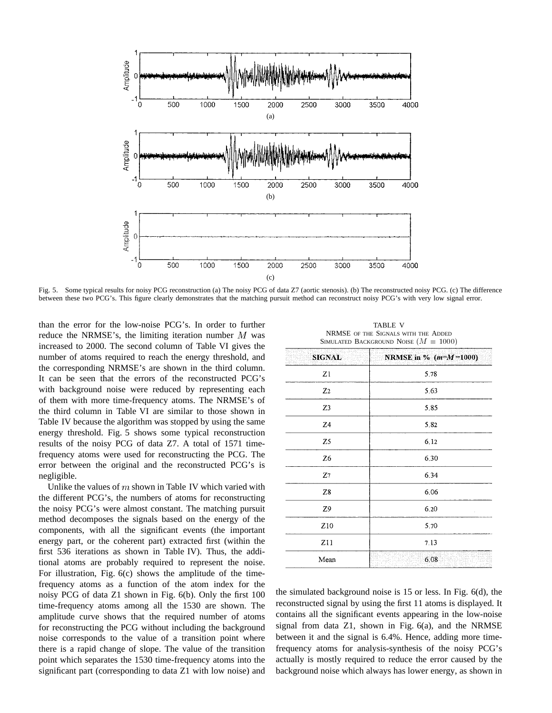

Fig. 5. Some typical results for noisy PCG reconstruction (a) The noisy PCG of data Z7 (aortic stenosis). (b) The reconstructed noisy PCG. (c) The difference between these two PCG's. This figure clearly demonstrates that the matching pursuit method can reconstruct noisy PCG's with very low signal error.

than the error for the low-noise PCG's. In order to further reduce the NRMSE's, the limiting iteration number  $M$  was increased to 2000. The second column of Table VI gives the number of atoms required to reach the energy threshold, and the corresponding NRMSE's are shown in the third column. It can be seen that the errors of the reconstructed PCG's with background noise were reduced by representing each of them with more time-frequency atoms. The NRMSE's of the third column in Table VI are similar to those shown in Table IV because the algorithm was stopped by using the same energy threshold. Fig. 5 shows some typical reconstruction results of the noisy PCG of data Z7. A total of 1571 timefrequency atoms were used for reconstructing the PCG. The error between the original and the reconstructed PCG's is negligible.

Unlike the values of  $m$  shown in Table IV which varied with the different PCG's, the numbers of atoms for reconstructing the noisy PCG's were almost constant. The matching pursuit method decomposes the signals based on the energy of the components, with all the significant events (the important energy part, or the coherent part) extracted first (within the first 536 iterations as shown in Table IV). Thus, the additional atoms are probably required to represent the noise. For illustration, Fig. 6(c) shows the amplitude of the timefrequency atoms as a function of the atom index for the noisy PCG of data Z1 shown in Fig. 6(b). Only the first 100 time-frequency atoms among all the 1530 are shown. The amplitude curve shows that the required number of atoms for reconstructing the PCG without including the background noise corresponds to the value of a transition point where there is a rapid change of slope. The value of the transition point which separates the 1530 time-frequency atoms into the significant part (corresponding to data Z1 with low noise) and

TABLE V NRMSE OF THE SIGNALS WITH THE ADDED SIMULATED BACKGROUND NOISE  $(M = 1000)$ 

| <b>SIGNAL</b>  | NRMSE in % $(m=M=1000)$ |
|----------------|-------------------------|
| Z1             | 5.78                    |
| Z <sub>2</sub> | 5.63                    |
| Z3             | 5.85                    |
| Z <sub>4</sub> | 5.82                    |
| Z5             | 6.12                    |
| Z <sub>6</sub> | 6.30                    |
| $\mathbb{Z}^7$ | 6.34                    |
| Z8             | 6.06                    |
| Z9             | 6.20                    |
| Z10            | 5.70                    |
| Z11            | 7.13                    |
| Mean           | 6.08                    |
|                |                         |

the simulated background noise is 15 or less. In Fig. 6(d), the reconstructed signal by using the first 11 atoms is displayed. It contains all the significant events appearing in the low-noise signal from data Z1, shown in Fig. 6(a), and the NRMSE between it and the signal is 6.4%. Hence, adding more timefrequency atoms for analysis-synthesis of the noisy PCG's actually is mostly required to reduce the error caused by the background noise which always has lower energy, as shown in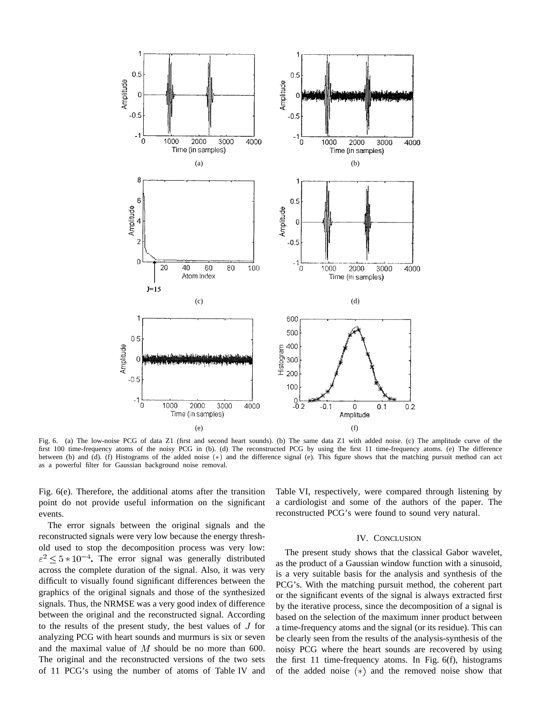

Fig. 6. (a) The low-noise PCG of data Z1 (first and second heart sounds). (b) The same data Z1 with added noise. (c) The amplitude curve of the first 100 time-frequency atoms of the noisy PCG in (b). (d) The reconstructed PCG by using the first 11 time-frequency atoms. (e) The difference between (b) and (d). (f) Histograms of the added noise (\*) and the difference signal (e). This figure shows that the matching pursuit method can act as a powerful filter for Gaussian background noise removal.

Fig. 6(e). Therefore, the additional atoms after the transition point do not provide useful information on the significant events.

The error signals between the original signals and the reconstructed signals were very low because the energy threshold used to stop the decomposition process was very low:  $\varepsilon^2 \leq 5*10^{-4}$ . The error signal was generally distributed across the complete duration of the signal. Also, it was very difficult to visually found significant differences between the graphics of the original signals and those of the synthesized signals. Thus, the NRMSE was a very good index of difference between the original and the reconstructed signal. According to the results of the present study, the best values of  $J$  for analyzing PCG with heart sounds and murmurs is six or seven and the maximal value of  $M$  should be no more than 600. The original and the reconstructed versions of the two sets of 11 PCG's using the number of atoms of Table IV and Table VI, respectively, were compared through listening by a cardiologist and some of the authors of the paper. The reconstructed PCG's were found to sound very natural.

#### IV. CONCLUSION

The present study shows that the classical Gabor wavelet, as the product of a Gaussian window function with a sinusoid, is a very suitable basis for the analysis and synthesis of the PCG's. With the matching pursuit method, the coherent part or the significant events of the signal is always extracted first by the iterative process, since the decomposition of a signal is based on the selection of the maximum inner product between a time-frequency atoms and the signal (or its residue). This can be clearly seen from the results of the analysis-synthesis of the noisy PCG where the heart sounds are recovered by using the first 11 time-frequency atoms. In Fig. 6(f), histograms of the added noise  $(*)$  and the removed noise show that